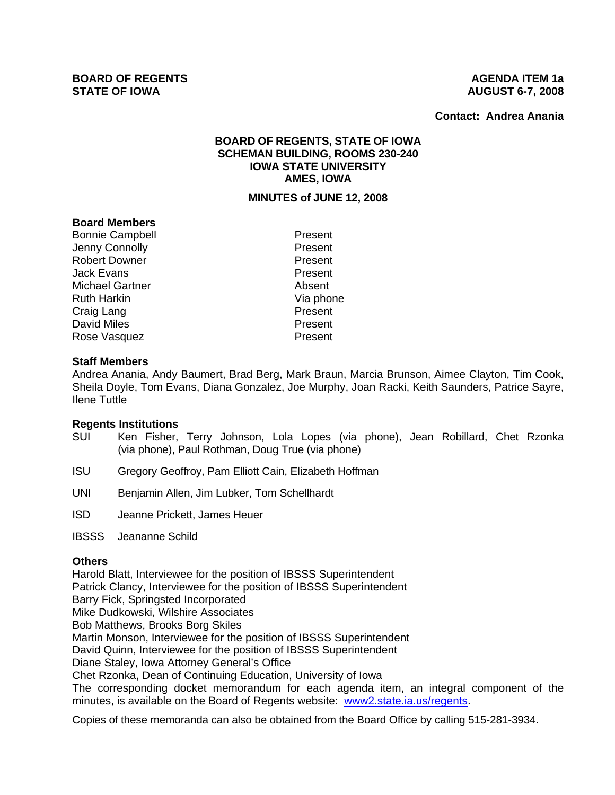**Contact: Andrea Anania**

# **BOARD OF REGENTS, STATE OF IOWA SCHEMAN BUILDING, ROOMS 230-240 IOWA STATE UNIVERSITY AMES, IOWA**

#### **MINUTES of JUNE 12, 2008**

## **Board Members**

Bonnie Campbell **Present** Jenny Connolly **Accord Present** Robert Downer **Present** Jack Evans **Present** Michael Gartner **Absent** Ruth Harkin Via phone Craig Lang **Present** David Miles **Present** Rose Vasquez **Present** 

#### **Staff Members**

Andrea Anania, Andy Baumert, Brad Berg, Mark Braun, Marcia Brunson, Aimee Clayton, Tim Cook, Sheila Doyle, Tom Evans, Diana Gonzalez, Joe Murphy, Joan Racki, Keith Saunders, Patrice Sayre, Ilene Tuttle

## **Regents Institutions**

- SUI Ken Fisher, Terry Johnson, Lola Lopes (via phone), Jean Robillard, Chet Rzonka (via phone), Paul Rothman, Doug True (via phone)
- ISU Gregory Geoffroy, Pam Elliott Cain, Elizabeth Hoffman
- UNI Benjamin Allen, Jim Lubker, Tom Schellhardt
- ISD Jeanne Prickett, James Heuer
- IBSSS Jeananne Schild

#### **Others**

Harold Blatt, Interviewee for the position of IBSSS Superintendent Patrick Clancy, Interviewee for the position of IBSSS Superintendent Barry Fick, Springsted Incorporated Mike Dudkowski, Wilshire Associates Bob Matthews, Brooks Borg Skiles Martin Monson, Interviewee for the position of IBSSS Superintendent David Quinn, Interviewee for the position of IBSSS Superintendent Diane Staley, Iowa Attorney General's Office Chet Rzonka, Dean of Continuing Education, University of Iowa The corresponding docket memorandum for each agenda item, an integral component of the minutes, is available on the Board of Regents website: www2.state.ia.us/regents.

Copies of these memoranda can also be obtained from the Board Office by calling 515-281-3934.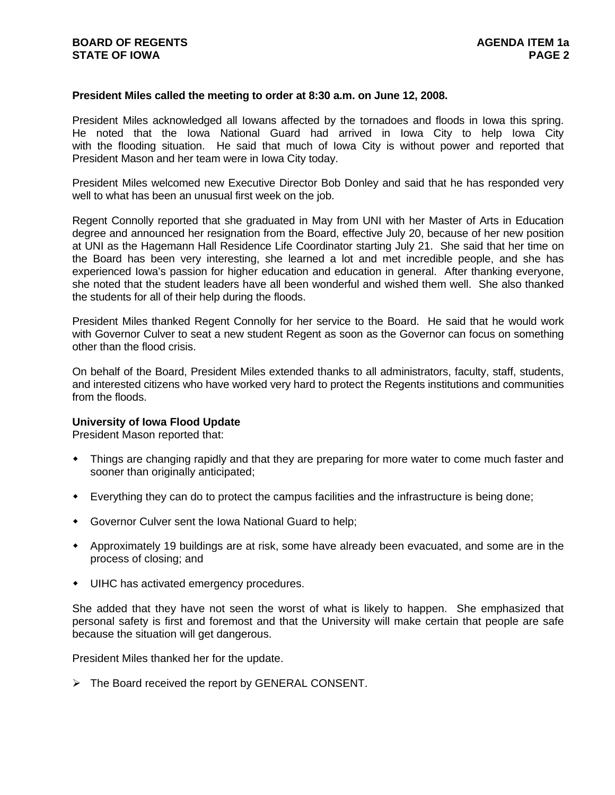#### **President Miles called the meeting to order at 8:30 a.m. on June 12, 2008.**

President Miles acknowledged all Iowans affected by the tornadoes and floods in Iowa this spring. He noted that the Iowa National Guard had arrived in Iowa City to help Iowa City with the flooding situation. He said that much of Iowa City is without power and reported that President Mason and her team were in Iowa City today.

President Miles welcomed new Executive Director Bob Donley and said that he has responded very well to what has been an unusual first week on the job.

Regent Connolly reported that she graduated in May from UNI with her Master of Arts in Education degree and announced her resignation from the Board, effective July 20, because of her new position at UNI as the Hagemann Hall Residence Life Coordinator starting July 21. She said that her time on the Board has been very interesting, she learned a lot and met incredible people, and she has experienced Iowa's passion for higher education and education in general. After thanking everyone, she noted that the student leaders have all been wonderful and wished them well. She also thanked the students for all of their help during the floods.

President Miles thanked Regent Connolly for her service to the Board. He said that he would work with Governor Culver to seat a new student Regent as soon as the Governor can focus on something other than the flood crisis.

On behalf of the Board, President Miles extended thanks to all administrators, faculty, staff, students, and interested citizens who have worked very hard to protect the Regents institutions and communities from the floods.

#### **University of Iowa Flood Update**

President Mason reported that:

- Things are changing rapidly and that they are preparing for more water to come much faster and sooner than originally anticipated;
- Everything they can do to protect the campus facilities and the infrastructure is being done;
- Governor Culver sent the Iowa National Guard to help;
- Approximately 19 buildings are at risk, some have already been evacuated, and some are in the process of closing; and
- UIHC has activated emergency procedures.

She added that they have not seen the worst of what is likely to happen. She emphasized that personal safety is first and foremost and that the University will make certain that people are safe because the situation will get dangerous.

President Miles thanked her for the update.

 $\triangleright$  The Board received the report by GENERAL CONSENT.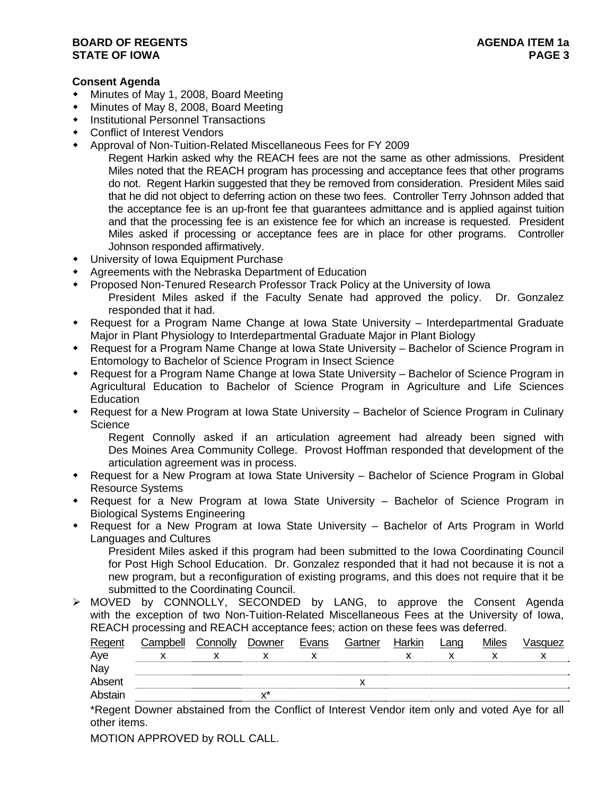## **BOARD OF REGENTS AGENUS AGENDA ITEM** 1a **STATE OF IOWA** PAGE 3

# **Consent Agenda**

- Minutes of May 1, 2008, Board Meeting
- Minutes of May 8, 2008, Board Meeting
- Institutional Personnel Transactions
- Conflict of Interest Vendors
- Approval of Non-Tuition-Related Miscellaneous Fees for FY 2009

Regent Harkin asked why the REACH fees are not the same as other admissions. President Miles noted that the REACH program has processing and acceptance fees that other programs do not. Regent Harkin suggested that they be removed from consideration. President Miles said that he did not object to deferring action on these two fees. Controller Terry Johnson added that the acceptance fee is an up-front fee that guarantees admittance and is applied against tuition and that the processing fee is an existence fee for which an increase is requested. President Miles asked if processing or acceptance fees are in place for other programs. Controller Johnson responded affirmatively.

- University of Iowa Equipment Purchase
- Agreements with the Nebraska Department of Education
- Proposed Non-Tenured Research Professor Track Policy at the University of Iowa
	- President Miles asked if the Faculty Senate had approved the policy. Dr. Gonzalez responded that it had.
- Request for a Program Name Change at Iowa State University Interdepartmental Graduate Major in Plant Physiology to Interdepartmental Graduate Major in Plant Biology
- Request for a Program Name Change at Iowa State University Bachelor of Science Program in Entomology to Bachelor of Science Program in Insect Science
- Request for a Program Name Change at Iowa State University Bachelor of Science Program in Agricultural Education to Bachelor of Science Program in Agriculture and Life Sciences **Education**
- Request for a New Program at Iowa State University Bachelor of Science Program in Culinary **Science**

Regent Connolly asked if an articulation agreement had already been signed with Des Moines Area Community College. Provost Hoffman responded that development of the articulation agreement was in process.

- Request for a New Program at Iowa State University Bachelor of Science Program in Global Resource Systems
- Request for a New Program at Iowa State University Bachelor of Science Program in Biological Systems Engineering
- Request for a New Program at Iowa State University Bachelor of Arts Program in World Languages and Cultures

President Miles asked if this program had been submitted to the Iowa Coordinating Council for Post High School Education. Dr. Gonzalez responded that it had not because it is not a new program, but a reconfiguration of existing programs, and this does not require that it be submitted to the Coordinating Council.

¾ MOVED by CONNOLLY, SECONDED by LANG, to approve the Consent Agenda with the exception of two Non-Tuition-Related Miscellaneous Fees at the University of Iowa, REACH processing and REACH acceptance fees; action on these fees was deferred.

| Regent  | Campbell | Connolly | Downer         | Evans | Gartner | Harkin | Lang | <b>Miles</b> | Vasquez |
|---------|----------|----------|----------------|-------|---------|--------|------|--------------|---------|
| Aye     |          |          |                |       |         |        |      |              |         |
| Nay     |          |          |                |       |         |        |      |              |         |
| Absent  |          |          |                |       |         |        |      |              |         |
| Abstain |          |          | v <sup>x</sup> |       |         |        |      |              |         |

\*Regent Downer abstained from the Conflict of Interest Vendor item only and voted Aye for all other items.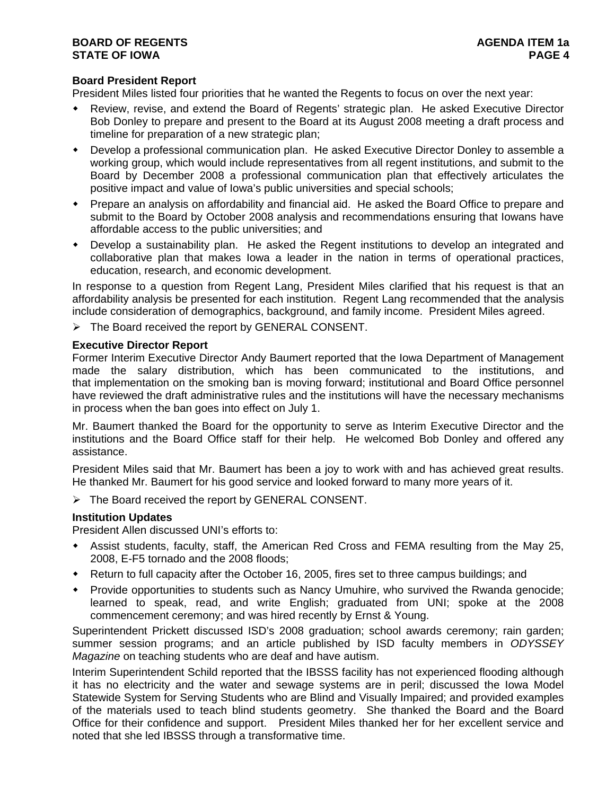# **Board President Report**

President Miles listed four priorities that he wanted the Regents to focus on over the next year:

- Review, revise, and extend the Board of Regents' strategic plan. He asked Executive Director Bob Donley to prepare and present to the Board at its August 2008 meeting a draft process and timeline for preparation of a new strategic plan;
- Develop a professional communication plan. He asked Executive Director Donley to assemble a working group, which would include representatives from all regent institutions, and submit to the Board by December 2008 a professional communication plan that effectively articulates the positive impact and value of Iowa's public universities and special schools;
- Prepare an analysis on affordability and financial aid. He asked the Board Office to prepare and submit to the Board by October 2008 analysis and recommendations ensuring that Iowans have affordable access to the public universities; and
- Develop a sustainability plan. He asked the Regent institutions to develop an integrated and collaborative plan that makes Iowa a leader in the nation in terms of operational practices, education, research, and economic development.

In response to a question from Regent Lang, President Miles clarified that his request is that an affordability analysis be presented for each institution. Regent Lang recommended that the analysis include consideration of demographics, background, and family income. President Miles agreed.

¾ The Board received the report by GENERAL CONSENT.

#### **Executive Director Report**

Former Interim Executive Director Andy Baumert reported that the Iowa Department of Management made the salary distribution, which has been communicated to the institutions, and that implementation on the smoking ban is moving forward; institutional and Board Office personnel have reviewed the draft administrative rules and the institutions will have the necessary mechanisms in process when the ban goes into effect on July 1.

Mr. Baumert thanked the Board for the opportunity to serve as Interim Executive Director and the institutions and the Board Office staff for their help. He welcomed Bob Donley and offered any assistance.

President Miles said that Mr. Baumert has been a joy to work with and has achieved great results. He thanked Mr. Baumert for his good service and looked forward to many more years of it.

¾ The Board received the report by GENERAL CONSENT.

## **Institution Updates**

President Allen discussed UNI's efforts to:

- Assist students, faculty, staff, the American Red Cross and FEMA resulting from the May 25, 2008, E-F5 tornado and the 2008 floods;
- Return to full capacity after the October 16, 2005, fires set to three campus buildings; and
- Provide opportunities to students such as Nancy Umuhire, who survived the Rwanda genocide; learned to speak, read, and write English; graduated from UNI; spoke at the 2008 commencement ceremony; and was hired recently by Ernst & Young.

Superintendent Prickett discussed ISD's 2008 graduation; school awards ceremony; rain garden; summer session programs; and an article published by ISD faculty members in *ODYSSEY Magazine* on teaching students who are deaf and have autism.

Interim Superintendent Schild reported that the IBSSS facility has not experienced flooding although it has no electricity and the water and sewage systems are in peril; discussed the Iowa Model Statewide System for Serving Students who are Blind and Visually Impaired; and provided examples of the materials used to teach blind students geometry. She thanked the Board and the Board Office for their confidence and support. President Miles thanked her for her excellent service and noted that she led IBSSS through a transformative time.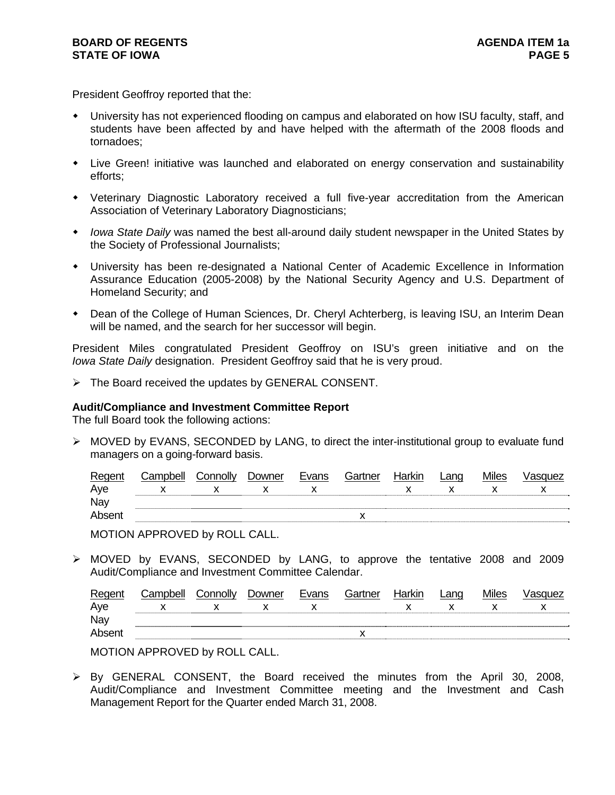President Geoffroy reported that the:

- University has not experienced flooding on campus and elaborated on how ISU faculty, staff, and students have been affected by and have helped with the aftermath of the 2008 floods and tornadoes;
- Live Green! initiative was launched and elaborated on energy conservation and sustainability efforts;
- Veterinary Diagnostic Laboratory received a full five-year accreditation from the American Association of Veterinary Laboratory Diagnosticians;
- *Iowa State Daily* was named the best all-around daily student newspaper in the United States by the Society of Professional Journalists;
- University has been re-designated a National Center of Academic Excellence in Information Assurance Education (2005-2008) by the National Security Agency and U.S. Department of Homeland Security; and
- Dean of the College of Human Sciences, Dr. Cheryl Achterberg, is leaving ISU, an Interim Dean will be named, and the search for her successor will begin.

President Miles congratulated President Geoffroy on ISU's green initiative and on the *Iowa State Daily* designation. President Geoffroy said that he is very proud.

¾ The Board received the updates by GENERAL CONSENT.

## **Audit/Compliance and Investment Committee Report**

The full Board took the following actions:

 $\triangleright$  MOVED by EVANS, SECONDED by LANG, to direct the inter-institutional group to evaluate fund managers on a going-forward basis.

| Regent | Camnhell∶ | connolly. | Downer | Evans | Gartner   | Harkin | Lang | <b>Miles</b> | /asquez |
|--------|-----------|-----------|--------|-------|-----------|--------|------|--------------|---------|
| Aye    |           |           |        |       |           |        |      |              |         |
| Nay    |           |           |        |       |           |        |      |              |         |
| Absent |           |           |        |       | $\lambda$ |        |      |              |         |

MOTION APPROVED by ROLL CALL.

¾ MOVED by EVANS, SECONDED by LANG, to approve the tentative 2008 and 2009 Audit/Compliance and Investment Committee Calendar.

| Regent | Campbell | Connolly | Downer | Evans | Gartner   | Harkin | _ano | <b>Miles</b> | √asquez |
|--------|----------|----------|--------|-------|-----------|--------|------|--------------|---------|
| Aye    |          |          |        |       |           |        |      |              |         |
| Nay    |          |          |        |       |           |        |      |              |         |
| Absen  |          |          |        |       | $\lambda$ |        |      |              |         |

MOTION APPROVED by ROLL CALL.

 $\triangleright$  By GENERAL CONSENT, the Board received the minutes from the April 30, 2008, Audit/Compliance and Investment Committee meeting and the Investment and Cash Management Report for the Quarter ended March 31, 2008.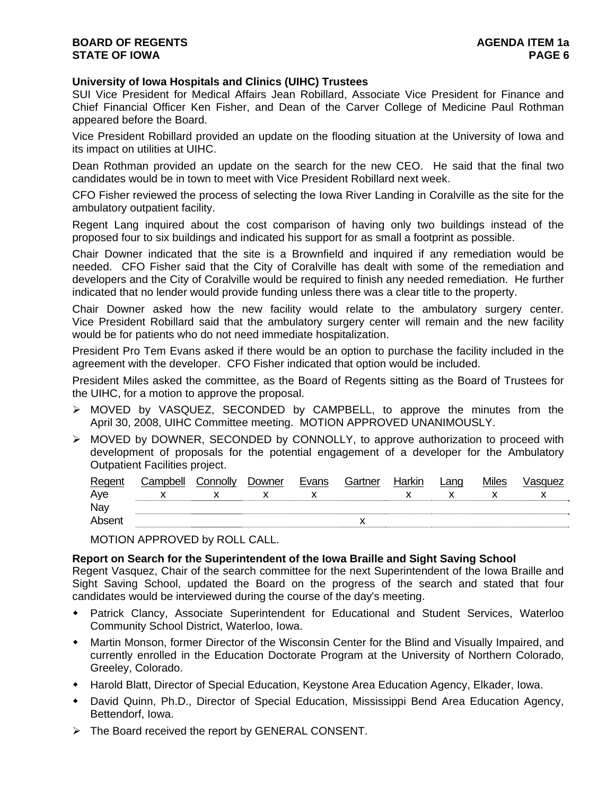## **University of Iowa Hospitals and Clinics (UIHC) Trustees**

SUI Vice President for Medical Affairs Jean Robillard, Associate Vice President for Finance and Chief Financial Officer Ken Fisher, and Dean of the Carver College of Medicine Paul Rothman appeared before the Board.

Vice President Robillard provided an update on the flooding situation at the University of Iowa and its impact on utilities at UIHC.

Dean Rothman provided an update on the search for the new CEO. He said that the final two candidates would be in town to meet with Vice President Robillard next week.

CFO Fisher reviewed the process of selecting the Iowa River Landing in Coralville as the site for the ambulatory outpatient facility.

Regent Lang inquired about the cost comparison of having only two buildings instead of the proposed four to six buildings and indicated his support for as small a footprint as possible.

Chair Downer indicated that the site is a Brownfield and inquired if any remediation would be needed. CFO Fisher said that the City of Coralville has dealt with some of the remediation and developers and the City of Coralville would be required to finish any needed remediation. He further indicated that no lender would provide funding unless there was a clear title to the property.

Chair Downer asked how the new facility would relate to the ambulatory surgery center. Vice President Robillard said that the ambulatory surgery center will remain and the new facility would be for patients who do not need immediate hospitalization.

President Pro Tem Evans asked if there would be an option to purchase the facility included in the agreement with the developer. CFO Fisher indicated that option would be included.

President Miles asked the committee, as the Board of Regents sitting as the Board of Trustees for the UIHC, for a motion to approve the proposal.

- $\triangleright$  MOVED by VASQUEZ, SECONDED by CAMPBELL, to approve the minutes from the April 30, 2008, UIHC Committee meeting. MOTION APPROVED UNANIMOUSLY.
- ¾ MOVED by DOWNER, SECONDED by CONNOLLY, to approve authorization to proceed with development of proposals for the potential engagement of a developer for the Ambulatory Outpatient Facilities project.

| Regent | Campbell | Connolly | Downer | Evans | Gartner | Harkin | Land | Miles | √asɑuez |
|--------|----------|----------|--------|-------|---------|--------|------|-------|---------|
| Aye    |          |          |        |       |         |        |      |       |         |
| Nay    |          |          |        |       |         |        |      |       |         |
| Absent |          |          |        |       |         |        |      |       |         |

MOTION APPROVED by ROLL CALL.

## **Report on Search for the Superintendent of the Iowa Braille and Sight Saving School**

Regent Vasquez, Chair of the search committee for the next Superintendent of the Iowa Braille and Sight Saving School, updated the Board on the progress of the search and stated that four candidates would be interviewed during the course of the day's meeting.

- Patrick Clancy, Associate Superintendent for Educational and Student Services, Waterloo Community School District, Waterloo, Iowa.
- Martin Monson, former Director of the Wisconsin Center for the Blind and Visually Impaired, and currently enrolled in the Education Doctorate Program at the University of Northern Colorado, Greeley, Colorado.
- Harold Blatt, Director of Special Education, Keystone Area Education Agency, Elkader, Iowa.
- David Quinn, Ph.D., Director of Special Education, Mississippi Bend Area Education Agency, Bettendorf, Iowa.
- $\triangleright$  The Board received the report by GENERAL CONSENT.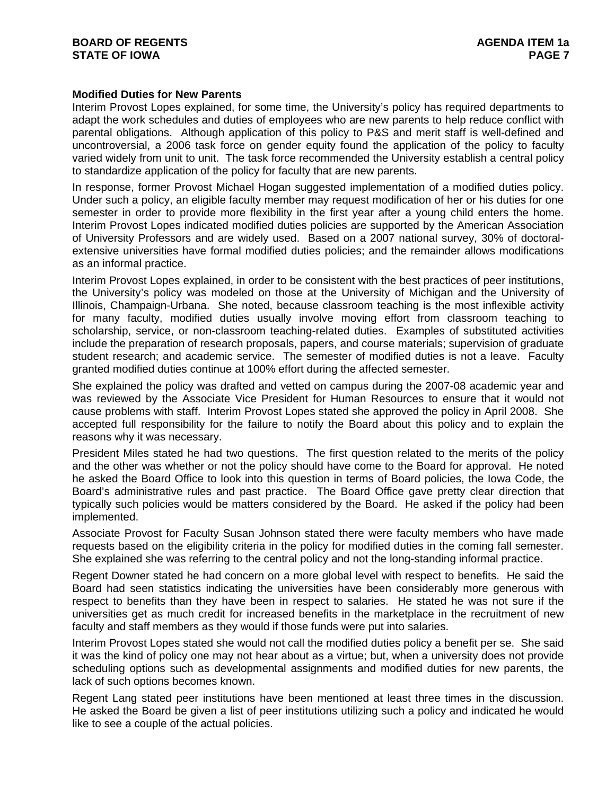## **Modified Duties for New Parents**

Interim Provost Lopes explained, for some time, the University's policy has required departments to adapt the work schedules and duties of employees who are new parents to help reduce conflict with parental obligations. Although application of this policy to P&S and merit staff is well-defined and uncontroversial, a 2006 task force on gender equity found the application of the policy to faculty varied widely from unit to unit. The task force recommended the University establish a central policy to standardize application of the policy for faculty that are new parents.

In response, former Provost Michael Hogan suggested implementation of a modified duties policy. Under such a policy, an eligible faculty member may request modification of her or his duties for one semester in order to provide more flexibility in the first year after a young child enters the home. Interim Provost Lopes indicated modified duties policies are supported by the American Association of University Professors and are widely used. Based on a 2007 national survey, 30% of doctoralextensive universities have formal modified duties policies; and the remainder allows modifications as an informal practice.

Interim Provost Lopes explained, in order to be consistent with the best practices of peer institutions, the University's policy was modeled on those at the University of Michigan and the University of Illinois, Champaign-Urbana. She noted, because classroom teaching is the most inflexible activity for many faculty, modified duties usually involve moving effort from classroom teaching to scholarship, service, or non-classroom teaching-related duties. Examples of substituted activities include the preparation of research proposals, papers, and course materials; supervision of graduate student research; and academic service. The semester of modified duties is not a leave. Faculty granted modified duties continue at 100% effort during the affected semester.

She explained the policy was drafted and vetted on campus during the 2007-08 academic year and was reviewed by the Associate Vice President for Human Resources to ensure that it would not cause problems with staff. Interim Provost Lopes stated she approved the policy in April 2008. She accepted full responsibility for the failure to notify the Board about this policy and to explain the reasons why it was necessary.

President Miles stated he had two questions. The first question related to the merits of the policy and the other was whether or not the policy should have come to the Board for approval. He noted he asked the Board Office to look into this question in terms of Board policies, the Iowa Code, the Board's administrative rules and past practice. The Board Office gave pretty clear direction that typically such policies would be matters considered by the Board. He asked if the policy had been implemented.

Associate Provost for Faculty Susan Johnson stated there were faculty members who have made requests based on the eligibility criteria in the policy for modified duties in the coming fall semester. She explained she was referring to the central policy and not the long-standing informal practice.

Regent Downer stated he had concern on a more global level with respect to benefits. He said the Board had seen statistics indicating the universities have been considerably more generous with respect to benefits than they have been in respect to salaries. He stated he was not sure if the universities get as much credit for increased benefits in the marketplace in the recruitment of new faculty and staff members as they would if those funds were put into salaries.

Interim Provost Lopes stated she would not call the modified duties policy a benefit per se. She said it was the kind of policy one may not hear about as a virtue; but, when a university does not provide scheduling options such as developmental assignments and modified duties for new parents, the lack of such options becomes known.

Regent Lang stated peer institutions have been mentioned at least three times in the discussion. He asked the Board be given a list of peer institutions utilizing such a policy and indicated he would like to see a couple of the actual policies.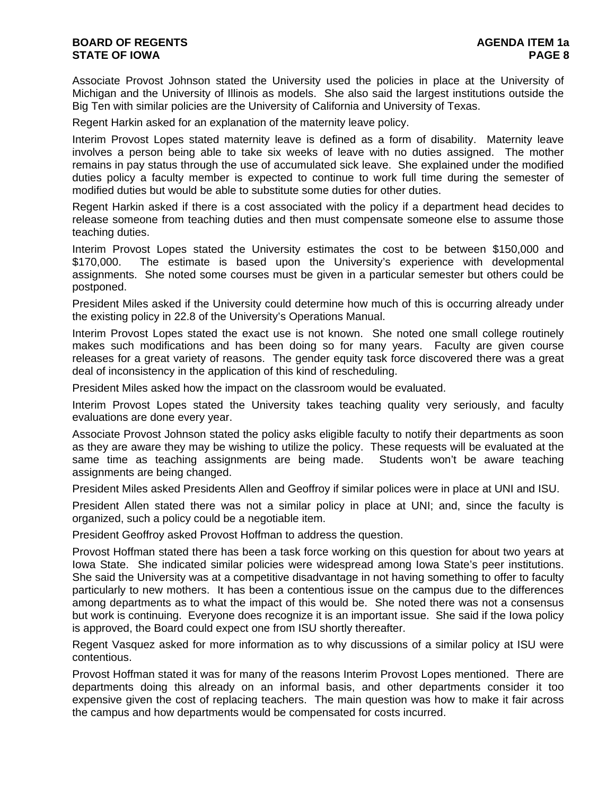Associate Provost Johnson stated the University used the policies in place at the University of Michigan and the University of Illinois as models. She also said the largest institutions outside the Big Ten with similar policies are the University of California and University of Texas.

Regent Harkin asked for an explanation of the maternity leave policy.

Interim Provost Lopes stated maternity leave is defined as a form of disability. Maternity leave involves a person being able to take six weeks of leave with no duties assigned. The mother remains in pay status through the use of accumulated sick leave. She explained under the modified duties policy a faculty member is expected to continue to work full time during the semester of modified duties but would be able to substitute some duties for other duties.

Regent Harkin asked if there is a cost associated with the policy if a department head decides to release someone from teaching duties and then must compensate someone else to assume those teaching duties.

Interim Provost Lopes stated the University estimates the cost to be between \$150,000 and \$170,000. The estimate is based upon the University's experience with developmental assignments. She noted some courses must be given in a particular semester but others could be postponed.

President Miles asked if the University could determine how much of this is occurring already under the existing policy in 22.8 of the University's Operations Manual.

Interim Provost Lopes stated the exact use is not known. She noted one small college routinely makes such modifications and has been doing so for many years. Faculty are given course releases for a great variety of reasons. The gender equity task force discovered there was a great deal of inconsistency in the application of this kind of rescheduling.

President Miles asked how the impact on the classroom would be evaluated.

Interim Provost Lopes stated the University takes teaching quality very seriously, and faculty evaluations are done every year.

Associate Provost Johnson stated the policy asks eligible faculty to notify their departments as soon as they are aware they may be wishing to utilize the policy. These requests will be evaluated at the same time as teaching assignments are being made. Students won't be aware teaching assignments are being changed.

President Miles asked Presidents Allen and Geoffroy if similar polices were in place at UNI and ISU.

President Allen stated there was not a similar policy in place at UNI; and, since the faculty is organized, such a policy could be a negotiable item.

President Geoffroy asked Provost Hoffman to address the question.

Provost Hoffman stated there has been a task force working on this question for about two years at Iowa State. She indicated similar policies were widespread among Iowa State's peer institutions. She said the University was at a competitive disadvantage in not having something to offer to faculty particularly to new mothers. It has been a contentious issue on the campus due to the differences among departments as to what the impact of this would be. She noted there was not a consensus but work is continuing. Everyone does recognize it is an important issue. She said if the Iowa policy is approved, the Board could expect one from ISU shortly thereafter.

Regent Vasquez asked for more information as to why discussions of a similar policy at ISU were contentious.

Provost Hoffman stated it was for many of the reasons Interim Provost Lopes mentioned. There are departments doing this already on an informal basis, and other departments consider it too expensive given the cost of replacing teachers. The main question was how to make it fair across the campus and how departments would be compensated for costs incurred.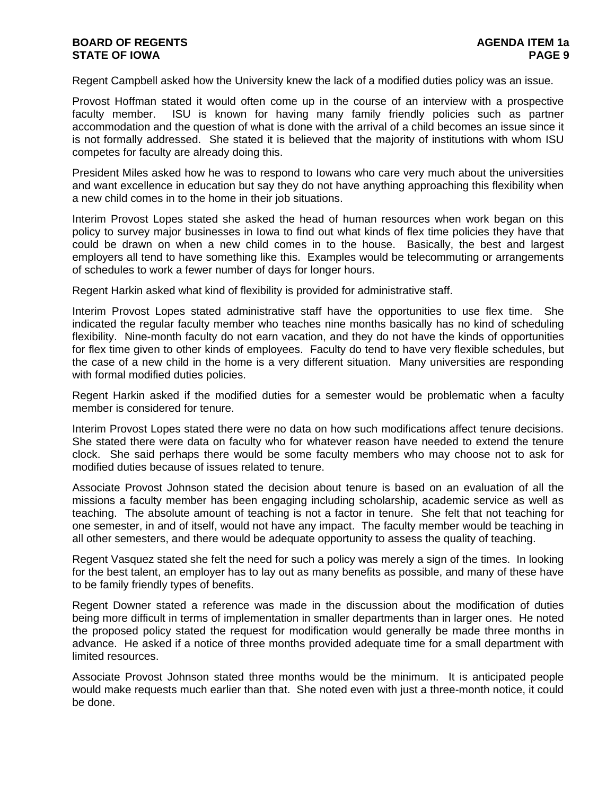Regent Campbell asked how the University knew the lack of a modified duties policy was an issue.

Provost Hoffman stated it would often come up in the course of an interview with a prospective faculty member. ISU is known for having many family friendly policies such as partner accommodation and the question of what is done with the arrival of a child becomes an issue since it is not formally addressed. She stated it is believed that the majority of institutions with whom ISU competes for faculty are already doing this.

President Miles asked how he was to respond to Iowans who care very much about the universities and want excellence in education but say they do not have anything approaching this flexibility when a new child comes in to the home in their job situations.

Interim Provost Lopes stated she asked the head of human resources when work began on this policy to survey major businesses in Iowa to find out what kinds of flex time policies they have that could be drawn on when a new child comes in to the house. Basically, the best and largest employers all tend to have something like this. Examples would be telecommuting or arrangements of schedules to work a fewer number of days for longer hours.

Regent Harkin asked what kind of flexibility is provided for administrative staff.

Interim Provost Lopes stated administrative staff have the opportunities to use flex time. She indicated the regular faculty member who teaches nine months basically has no kind of scheduling flexibility. Nine-month faculty do not earn vacation, and they do not have the kinds of opportunities for flex time given to other kinds of employees. Faculty do tend to have very flexible schedules, but the case of a new child in the home is a very different situation. Many universities are responding with formal modified duties policies.

Regent Harkin asked if the modified duties for a semester would be problematic when a faculty member is considered for tenure.

Interim Provost Lopes stated there were no data on how such modifications affect tenure decisions. She stated there were data on faculty who for whatever reason have needed to extend the tenure clock. She said perhaps there would be some faculty members who may choose not to ask for modified duties because of issues related to tenure.

Associate Provost Johnson stated the decision about tenure is based on an evaluation of all the missions a faculty member has been engaging including scholarship, academic service as well as teaching. The absolute amount of teaching is not a factor in tenure. She felt that not teaching for one semester, in and of itself, would not have any impact. The faculty member would be teaching in all other semesters, and there would be adequate opportunity to assess the quality of teaching.

Regent Vasquez stated she felt the need for such a policy was merely a sign of the times. In looking for the best talent, an employer has to lay out as many benefits as possible, and many of these have to be family friendly types of benefits.

Regent Downer stated a reference was made in the discussion about the modification of duties being more difficult in terms of implementation in smaller departments than in larger ones. He noted the proposed policy stated the request for modification would generally be made three months in advance. He asked if a notice of three months provided adequate time for a small department with limited resources.

Associate Provost Johnson stated three months would be the minimum. It is anticipated people would make requests much earlier than that. She noted even with just a three-month notice, it could be done.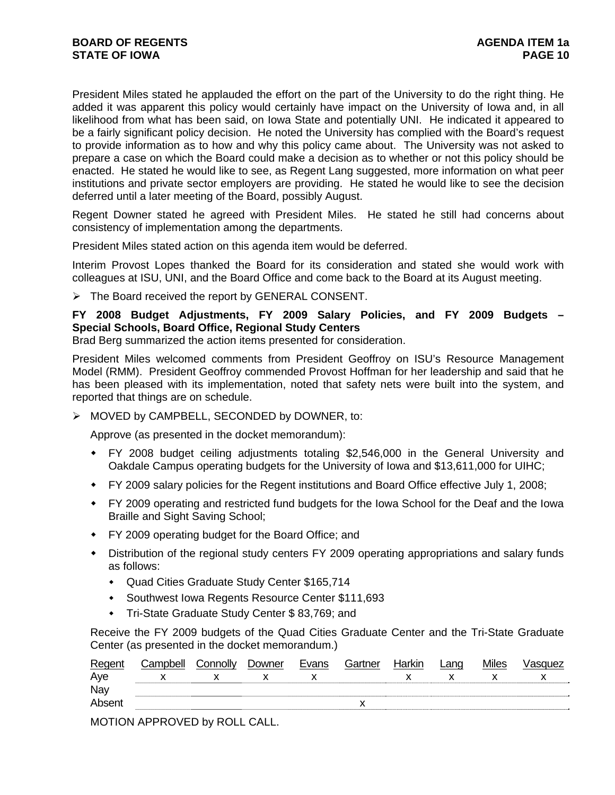President Miles stated he applauded the effort on the part of the University to do the right thing. He added it was apparent this policy would certainly have impact on the University of Iowa and, in all likelihood from what has been said, on Iowa State and potentially UNI. He indicated it appeared to be a fairly significant policy decision. He noted the University has complied with the Board's request to provide information as to how and why this policy came about. The University was not asked to prepare a case on which the Board could make a decision as to whether or not this policy should be enacted. He stated he would like to see, as Regent Lang suggested, more information on what peer institutions and private sector employers are providing. He stated he would like to see the decision deferred until a later meeting of the Board, possibly August.

Regent Downer stated he agreed with President Miles. He stated he still had concerns about consistency of implementation among the departments.

President Miles stated action on this agenda item would be deferred.

Interim Provost Lopes thanked the Board for its consideration and stated she would work with colleagues at ISU, UNI, and the Board Office and come back to the Board at its August meeting.

 $\triangleright$  The Board received the report by GENERAL CONSENT.

**FY 2008 Budget Adjustments, FY 2009 Salary Policies, and FY 2009 Budgets – Special Schools, Board Office, Regional Study Centers**

Brad Berg summarized the action items presented for consideration.

President Miles welcomed comments from President Geoffroy on ISU's Resource Management Model (RMM). President Geoffroy commended Provost Hoffman for her leadership and said that he has been pleased with its implementation, noted that safety nets were built into the system, and reported that things are on schedule.

¾ MOVED by CAMPBELL, SECONDED by DOWNER, to:

Approve (as presented in the docket memorandum):

- FY 2008 budget ceiling adjustments totaling \$2,546,000 in the General University and Oakdale Campus operating budgets for the University of Iowa and \$13,611,000 for UIHC;
- FY 2009 salary policies for the Regent institutions and Board Office effective July 1, 2008;
- FY 2009 operating and restricted fund budgets for the Iowa School for the Deaf and the Iowa Braille and Sight Saving School;
- FY 2009 operating budget for the Board Office; and
- Distribution of the regional study centers FY 2009 operating appropriations and salary funds as follows:
	- Quad Cities Graduate Study Center \$165,714
	- Southwest Iowa Regents Resource Center \$111,693
	- Tri-State Graduate Study Center \$ 83,769; and

Receive the FY 2009 budgets of the Quad Cities Graduate Center and the Tri-State Graduate Center (as presented in the docket memorandum.)

| Regent | Campbell | Connolly | Downer | Evans | Gartner | Harkin | Lang | <b>Miles</b> | Vasquez |
|--------|----------|----------|--------|-------|---------|--------|------|--------------|---------|
| Aye    |          |          |        |       |         |        |      |              |         |
| Nay    |          |          |        |       |         |        |      |              |         |
| Absent |          |          |        |       |         |        |      |              |         |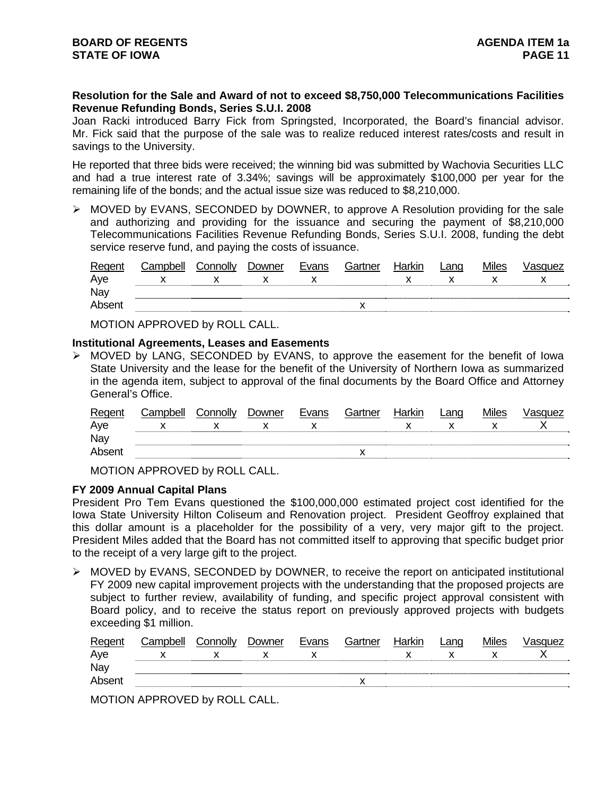## **Resolution for the Sale and Award of not to exceed \$8,750,000 Telecommunications Facilities Revenue Refunding Bonds, Series S.U.I. 2008**

Joan Racki introduced Barry Fick from Springsted, Incorporated, the Board's financial advisor. Mr. Fick said that the purpose of the sale was to realize reduced interest rates/costs and result in savings to the University.

He reported that three bids were received; the winning bid was submitted by Wachovia Securities LLC and had a true interest rate of 3.34%; savings will be approximately \$100,000 per year for the remaining life of the bonds; and the actual issue size was reduced to \$8,210,000.

¾ MOVED by EVANS, SECONDED by DOWNER, to approve A Resolution providing for the sale and authorizing and providing for the issuance and securing the payment of \$8,210,000 Telecommunications Facilities Revenue Refunding Bonds, Series S.U.I. 2008, funding the debt service reserve fund, and paying the costs of issuance.

| Regent | Campbell | Connolly | Downer | Evans | Gartner | Harkin | ∟ano | Miles | /asquez |
|--------|----------|----------|--------|-------|---------|--------|------|-------|---------|
| Aye    |          |          |        |       |         |        |      |       |         |
| Nay    |          |          |        |       |         |        |      |       |         |
| Absent |          |          |        |       |         |        |      |       |         |

MOTION APPROVED by ROLL CALL.

## **Institutional Agreements, Leases and Easements**

¾ MOVED by LANG, SECONDED by EVANS, to approve the easement for the benefit of Iowa State University and the lease for the benefit of the University of Northern Iowa as summarized in the agenda item, subject to approval of the final documents by the Board Office and Attorney General's Office.

| Regent | Campbell | Connolly | Downer | Evans | Gartner | Harkin | _ano | Miles | /asquez |
|--------|----------|----------|--------|-------|---------|--------|------|-------|---------|
| Aye    |          |          |        |       |         |        |      |       |         |
| Nay    |          |          |        |       |         |        |      |       |         |
| Absent |          |          |        |       |         |        |      |       |         |

MOTION APPROVED by ROLL CALL.

## **FY 2009 Annual Capital Plans**

President Pro Tem Evans questioned the \$100,000,000 estimated project cost identified for the Iowa State University Hilton Coliseum and Renovation project. President Geoffroy explained that this dollar amount is a placeholder for the possibility of a very, very major gift to the project. President Miles added that the Board has not committed itself to approving that specific budget prior to the receipt of a very large gift to the project.

¾ MOVED by EVANS, SECONDED by DOWNER, to receive the report on anticipated institutional FY 2009 new capital improvement projects with the understanding that the proposed projects are subject to further review, availability of funding, and specific project approval consistent with Board policy, and to receive the status report on previously approved projects with budgets exceeding \$1 million.

| Regent | Campbell | Connolly | Downer | Evans | Gartner | Harkin | Land | Miles | /asquez |
|--------|----------|----------|--------|-------|---------|--------|------|-------|---------|
| Aye    |          |          |        |       |         |        |      |       |         |
| Nay    |          |          |        |       |         |        |      |       |         |
| Absent |          |          |        |       |         |        |      |       |         |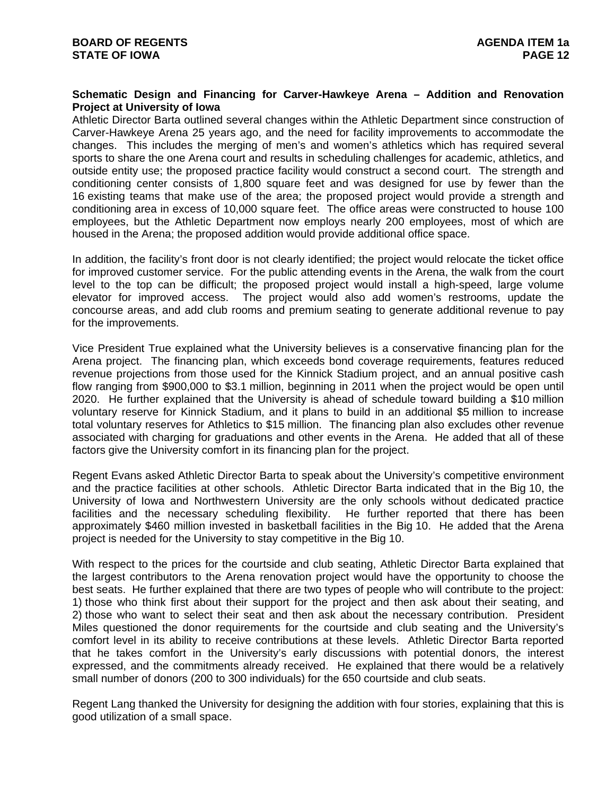## **Schematic Design and Financing for Carver-Hawkeye Arena – Addition and Renovation Project at University of Iowa**

Athletic Director Barta outlined several changes within the Athletic Department since construction of Carver-Hawkeye Arena 25 years ago, and the need for facility improvements to accommodate the changes. This includes the merging of men's and women's athletics which has required several sports to share the one Arena court and results in scheduling challenges for academic, athletics, and outside entity use; the proposed practice facility would construct a second court. The strength and conditioning center consists of 1,800 square feet and was designed for use by fewer than the 16 existing teams that make use of the area; the proposed project would provide a strength and conditioning area in excess of 10,000 square feet. The office areas were constructed to house 100 employees, but the Athletic Department now employs nearly 200 employees, most of which are housed in the Arena; the proposed addition would provide additional office space.

In addition, the facility's front door is not clearly identified; the project would relocate the ticket office for improved customer service. For the public attending events in the Arena, the walk from the court level to the top can be difficult; the proposed project would install a high-speed, large volume elevator for improved access. The project would also add women's restrooms, update the concourse areas, and add club rooms and premium seating to generate additional revenue to pay for the improvements.

Vice President True explained what the University believes is a conservative financing plan for the Arena project. The financing plan, which exceeds bond coverage requirements, features reduced revenue projections from those used for the Kinnick Stadium project, and an annual positive cash flow ranging from \$900,000 to \$3.1 million, beginning in 2011 when the project would be open until 2020. He further explained that the University is ahead of schedule toward building a \$10 million voluntary reserve for Kinnick Stadium, and it plans to build in an additional \$5 million to increase total voluntary reserves for Athletics to \$15 million. The financing plan also excludes other revenue associated with charging for graduations and other events in the Arena. He added that all of these factors give the University comfort in its financing plan for the project.

Regent Evans asked Athletic Director Barta to speak about the University's competitive environment and the practice facilities at other schools. Athletic Director Barta indicated that in the Big 10, the University of Iowa and Northwestern University are the only schools without dedicated practice facilities and the necessary scheduling flexibility. He further reported that there has been approximately \$460 million invested in basketball facilities in the Big 10. He added that the Arena project is needed for the University to stay competitive in the Big 10.

With respect to the prices for the courtside and club seating, Athletic Director Barta explained that the largest contributors to the Arena renovation project would have the opportunity to choose the best seats. He further explained that there are two types of people who will contribute to the project: 1) those who think first about their support for the project and then ask about their seating, and 2) those who want to select their seat and then ask about the necessary contribution. President Miles questioned the donor requirements for the courtside and club seating and the University's comfort level in its ability to receive contributions at these levels. Athletic Director Barta reported that he takes comfort in the University's early discussions with potential donors, the interest expressed, and the commitments already received. He explained that there would be a relatively small number of donors (200 to 300 individuals) for the 650 courtside and club seats.

Regent Lang thanked the University for designing the addition with four stories, explaining that this is good utilization of a small space.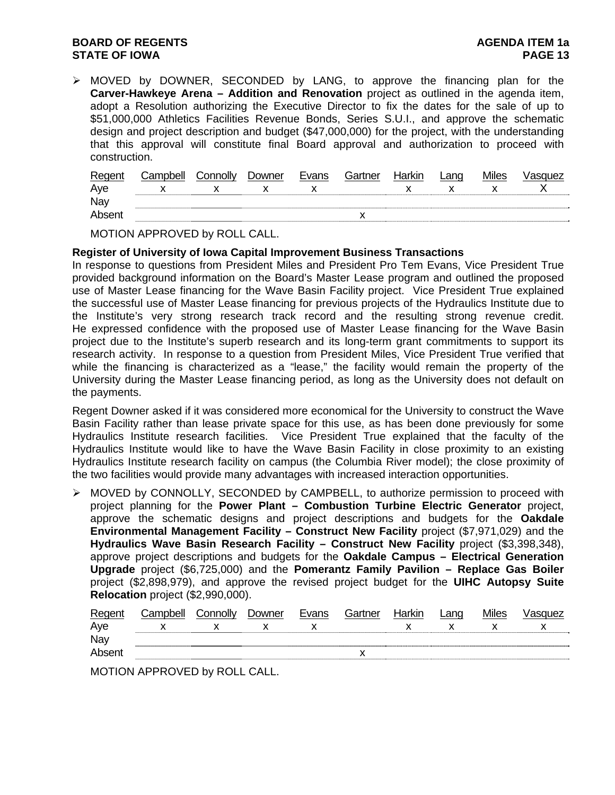## **BOARD OF REGENTS AGENER AGENERAL LIMIT CONTROL STATE OF IOWA PAGE 13**

¾ MOVED by DOWNER, SECONDED by LANG, to approve the financing plan for the **Carver-Hawkeye Arena – Addition and Renovation** project as outlined in the agenda item, adopt a Resolution authorizing the Executive Director to fix the dates for the sale of up to \$51,000,000 Athletics Facilities Revenue Bonds, Series S.U.I., and approve the schematic design and project description and budget (\$47,000,000) for the project, with the understanding that this approval will constitute final Board approval and authorization to proceed with construction.

| Regent | Campbell | Connolly | Downer | Evans | Gartner | Harkin | Lang | <b>Miles</b> | √asɑuez |
|--------|----------|----------|--------|-------|---------|--------|------|--------------|---------|
| Aye    |          |          |        |       |         |        |      |              |         |
| Nay    |          |          |        |       |         |        |      |              |         |
| Absent |          |          |        |       |         |        |      |              |         |

MOTION APPROVED by ROLL CALL.

#### **Register of University of Iowa Capital Improvement Business Transactions**

In response to questions from President Miles and President Pro Tem Evans, Vice President True provided background information on the Board's Master Lease program and outlined the proposed use of Master Lease financing for the Wave Basin Facility project. Vice President True explained the successful use of Master Lease financing for previous projects of the Hydraulics Institute due to the Institute's very strong research track record and the resulting strong revenue credit. He expressed confidence with the proposed use of Master Lease financing for the Wave Basin project due to the Institute's superb research and its long-term grant commitments to support its research activity. In response to a question from President Miles, Vice President True verified that while the financing is characterized as a "lease," the facility would remain the property of the University during the Master Lease financing period, as long as the University does not default on the payments.

Regent Downer asked if it was considered more economical for the University to construct the Wave Basin Facility rather than lease private space for this use, as has been done previously for some Hydraulics Institute research facilities. Vice President True explained that the faculty of the Hydraulics Institute would like to have the Wave Basin Facility in close proximity to an existing Hydraulics Institute research facility on campus (the Columbia River model); the close proximity of the two facilities would provide many advantages with increased interaction opportunities.

¾ MOVED by CONNOLLY, SECONDED by CAMPBELL, to authorize permission to proceed with project planning for the **Power Plant – Combustion Turbine Electric Generator** project, approve the schematic designs and project descriptions and budgets for the **Oakdale Environmental Management Facility – Construct New Facility** project (\$7,971,029) and the **Hydraulics Wave Basin Research Facility – Construct New Facility** project (\$3,398,348), approve project descriptions and budgets for the **Oakdale Campus – Electrical Generation Upgrade** project (\$6,725,000) and the **Pomerantz Family Pavilion – Replace Gas Boiler** project (\$2,898,979), and approve the revised project budget for the **UIHC Autopsy Suite Relocation** project (\$2,990,000).

| Regent | <i>C</i> amnhell | Connolly | Jowner | Evans | Gartner | Harkin | Lanq | <i>l</i> iles | ™le∠ |
|--------|------------------|----------|--------|-------|---------|--------|------|---------------|------|
| Aye    |                  |          |        |       |         |        |      |               |      |
| Nay    |                  |          |        |       |         |        |      |               |      |
| Absent |                  |          |        |       |         |        |      |               |      |
|        |                  |          |        |       |         |        |      |               |      |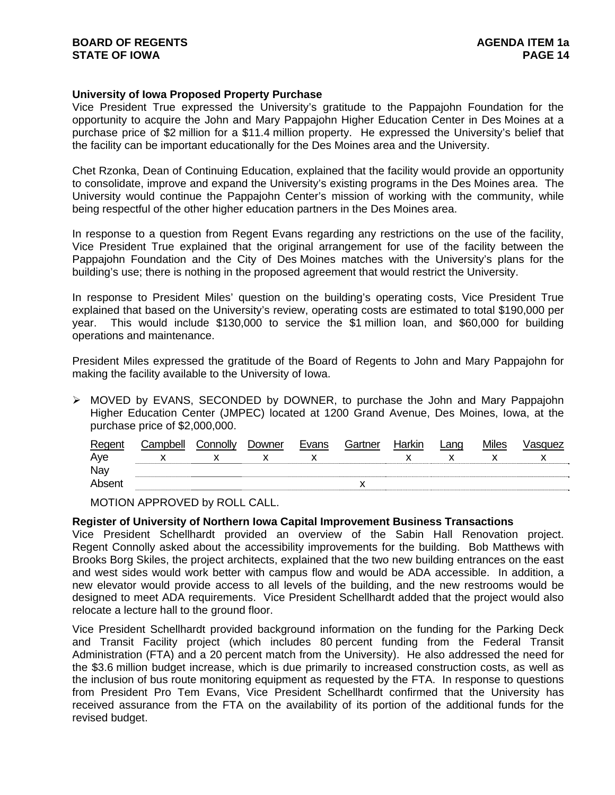## **University of Iowa Proposed Property Purchase**

Vice President True expressed the University's gratitude to the Pappajohn Foundation for the opportunity to acquire the John and Mary Pappajohn Higher Education Center in Des Moines at a purchase price of \$2 million for a \$11.4 million property. He expressed the University's belief that the facility can be important educationally for the Des Moines area and the University.

Chet Rzonka, Dean of Continuing Education, explained that the facility would provide an opportunity to consolidate, improve and expand the University's existing programs in the Des Moines area. The University would continue the Pappajohn Center's mission of working with the community, while being respectful of the other higher education partners in the Des Moines area.

In response to a question from Regent Evans regarding any restrictions on the use of the facility, Vice President True explained that the original arrangement for use of the facility between the Pappajohn Foundation and the City of Des Moines matches with the University's plans for the building's use; there is nothing in the proposed agreement that would restrict the University.

In response to President Miles' question on the building's operating costs, Vice President True explained that based on the University's review, operating costs are estimated to total \$190,000 per year. This would include \$130,000 to service the \$1 million loan, and \$60,000 for building operations and maintenance.

President Miles expressed the gratitude of the Board of Regents to John and Mary Pappajohn for making the facility available to the University of Iowa.

 $\triangleright$  MOVED by EVANS, SECONDED by DOWNER, to purchase the John and Mary Pappajohn Higher Education Center (JMPEC) located at 1200 Grand Avenue, Des Moines, Iowa, at the purchase price of \$2,000,000.

| Regent | Campbell | Connolly | Downer | Evans | Gartner | Harkin | ∟anɑ | Miles | Vasquez |
|--------|----------|----------|--------|-------|---------|--------|------|-------|---------|
| Aye    |          |          |        |       |         |        |      |       |         |
| Nay    |          |          |        |       |         |        |      |       |         |
| Absent |          |          |        |       |         |        |      |       |         |

MOTION APPROVED by ROLL CALL.

## **Register of University of Northern Iowa Capital Improvement Business Transactions**

Vice President Schellhardt provided an overview of the Sabin Hall Renovation project. Regent Connolly asked about the accessibility improvements for the building. Bob Matthews with Brooks Borg Skiles, the project architects, explained that the two new building entrances on the east and west sides would work better with campus flow and would be ADA accessible. In addition, a new elevator would provide access to all levels of the building, and the new restrooms would be designed to meet ADA requirements. Vice President Schellhardt added that the project would also relocate a lecture hall to the ground floor.

Vice President Schellhardt provided background information on the funding for the Parking Deck and Transit Facility project (which includes 80 percent funding from the Federal Transit Administration (FTA) and a 20 percent match from the University). He also addressed the need for the \$3.6 million budget increase, which is due primarily to increased construction costs, as well as the inclusion of bus route monitoring equipment as requested by the FTA. In response to questions from President Pro Tem Evans, Vice President Schellhardt confirmed that the University has received assurance from the FTA on the availability of its portion of the additional funds for the revised budget.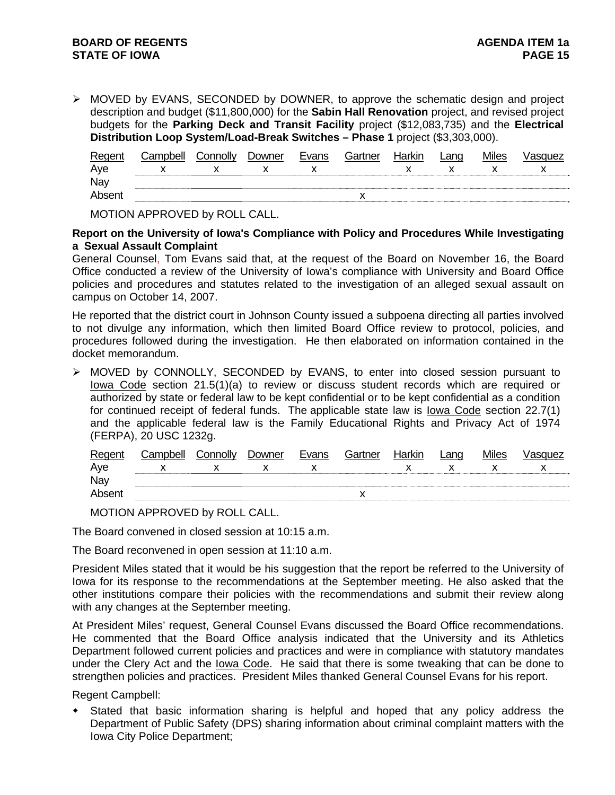¾ MOVED by EVANS, SECONDED by DOWNER, to approve the schematic design and project description and budget (\$11,800,000) for the **Sabin Hall Renovation** project, and revised project budgets for the **Parking Deck and Transit Facility** project (\$12,083,735) and the **Electrical Distribution Loop System/Load-Break Switches – Phase 1** project (\$3,303,000).

| Regent | Campbell | Connolly | Downer | Evans | Gartner | Harkin | Land | <b>Miles</b> | Vasquez |
|--------|----------|----------|--------|-------|---------|--------|------|--------------|---------|
| Aye    |          |          |        |       |         |        |      |              |         |
| Nay    |          |          |        |       |         |        |      |              |         |
| Absent |          |          |        |       |         |        |      |              |         |
|        |          |          |        |       |         |        |      |              |         |

MOTION APPROVED by ROLL CALL.

**Report on the University of Iowa's Compliance with Policy and Procedures While Investigating a Sexual Assault Complaint** 

General Counsel, Tom Evans said that, at the request of the Board on November 16, the Board Office conducted a review of the University of Iowa's compliance with University and Board Office policies and procedures and statutes related to the investigation of an alleged sexual assault on campus on October 14, 2007.

He reported that the district court in Johnson County issued a subpoena directing all parties involved to not divulge any information, which then limited Board Office review to protocol, policies, and procedures followed during the investigation. He then elaborated on information contained in the docket memorandum.

¾ MOVED by CONNOLLY, SECONDED by EVANS, to enter into closed session pursuant to lowa Code section 21.5(1)(a) to review or discuss student records which are required or authorized by state or federal law to be kept confidential or to be kept confidential as a condition for continued receipt of federal funds. The applicable state law is Iowa Code section 22.7(1) and the applicable federal law is the Family Educational Rights and Privacy Act of 1974 (FERPA), 20 USC 1232g.

MOTION APPROVED by ROLL CALL.

The Board convened in closed session at 10:15 a.m.

The Board reconvened in open session at 11:10 a.m.

President Miles stated that it would be his suggestion that the report be referred to the University of Iowa for its response to the recommendations at the September meeting. He also asked that the other institutions compare their policies with the recommendations and submit their review along with any changes at the September meeting.

At President Miles' request, General Counsel Evans discussed the Board Office recommendations. He commented that the Board Office analysis indicated that the University and its Athletics Department followed current policies and practices and were in compliance with statutory mandates under the Clery Act and the Iowa Code. He said that there is some tweaking that can be done to strengthen policies and practices. President Miles thanked General Counsel Evans for his report.

Regent Campbell:

 Stated that basic information sharing is helpful and hoped that any policy address the Department of Public Safety (DPS) sharing information about criminal complaint matters with the Iowa City Police Department;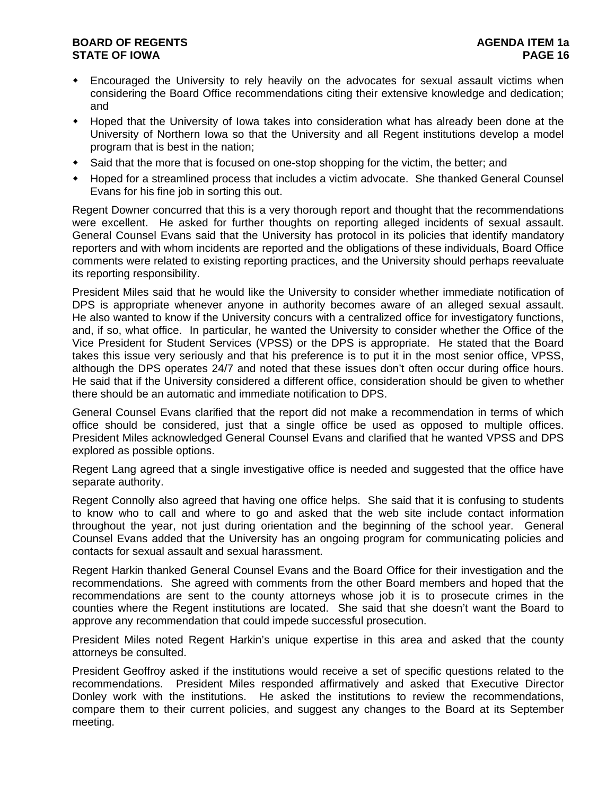# **BOARD OF REGENTS AGENER AGENERAL LIMIT CONTROL STATE OF IOWA PAGE 16**

- Encouraged the University to rely heavily on the advocates for sexual assault victims when considering the Board Office recommendations citing their extensive knowledge and dedication; and
- Hoped that the University of Iowa takes into consideration what has already been done at the University of Northern Iowa so that the University and all Regent institutions develop a model program that is best in the nation;
- Said that the more that is focused on one-stop shopping for the victim, the better; and
- Hoped for a streamlined process that includes a victim advocate. She thanked General Counsel Evans for his fine job in sorting this out.

Regent Downer concurred that this is a very thorough report and thought that the recommendations were excellent. He asked for further thoughts on reporting alleged incidents of sexual assault. General Counsel Evans said that the University has protocol in its policies that identify mandatory reporters and with whom incidents are reported and the obligations of these individuals, Board Office comments were related to existing reporting practices, and the University should perhaps reevaluate its reporting responsibility.

President Miles said that he would like the University to consider whether immediate notification of DPS is appropriate whenever anyone in authority becomes aware of an alleged sexual assault. He also wanted to know if the University concurs with a centralized office for investigatory functions, and, if so, what office. In particular, he wanted the University to consider whether the Office of the Vice President for Student Services (VPSS) or the DPS is appropriate. He stated that the Board takes this issue very seriously and that his preference is to put it in the most senior office, VPSS, although the DPS operates 24/7 and noted that these issues don't often occur during office hours. He said that if the University considered a different office, consideration should be given to whether there should be an automatic and immediate notification to DPS.

General Counsel Evans clarified that the report did not make a recommendation in terms of which office should be considered, just that a single office be used as opposed to multiple offices. President Miles acknowledged General Counsel Evans and clarified that he wanted VPSS and DPS explored as possible options.

Regent Lang agreed that a single investigative office is needed and suggested that the office have separate authority.

Regent Connolly also agreed that having one office helps. She said that it is confusing to students to know who to call and where to go and asked that the web site include contact information throughout the year, not just during orientation and the beginning of the school year. General Counsel Evans added that the University has an ongoing program for communicating policies and contacts for sexual assault and sexual harassment.

Regent Harkin thanked General Counsel Evans and the Board Office for their investigation and the recommendations. She agreed with comments from the other Board members and hoped that the recommendations are sent to the county attorneys whose job it is to prosecute crimes in the counties where the Regent institutions are located. She said that she doesn't want the Board to approve any recommendation that could impede successful prosecution.

President Miles noted Regent Harkin's unique expertise in this area and asked that the county attorneys be consulted.

President Geoffroy asked if the institutions would receive a set of specific questions related to the recommendations. President Miles responded affirmatively and asked that Executive Director Donley work with the institutions. He asked the institutions to review the recommendations, compare them to their current policies, and suggest any changes to the Board at its September meeting.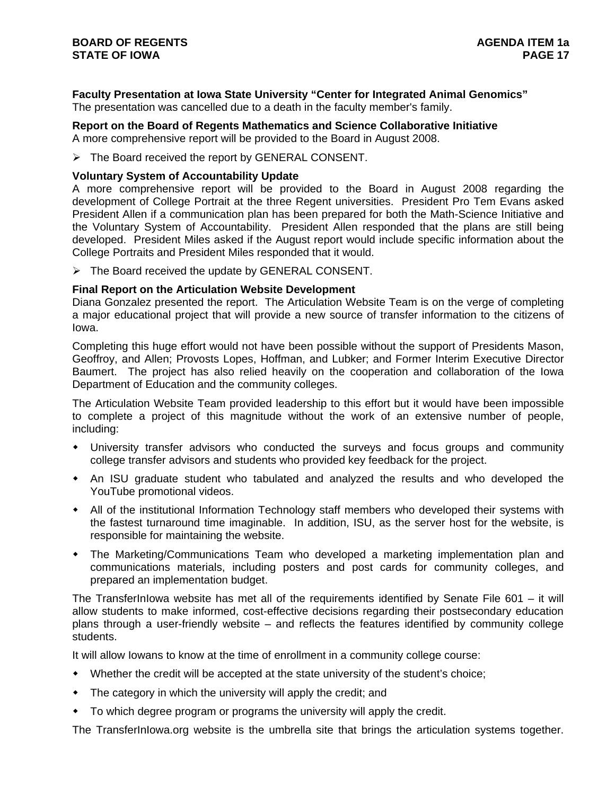# **Faculty Presentation at Iowa State University "Center for Integrated Animal Genomics"**

The presentation was cancelled due to a death in the faculty member's family.

# **Report on the Board of Regents Mathematics and Science Collaborative Initiative**

A more comprehensive report will be provided to the Board in August 2008.

¾ The Board received the report by GENERAL CONSENT.

## **Voluntary System of Accountability Update**

A more comprehensive report will be provided to the Board in August 2008 regarding the development of College Portrait at the three Regent universities. President Pro Tem Evans asked President Allen if a communication plan has been prepared for both the Math-Science Initiative and the Voluntary System of Accountability. President Allen responded that the plans are still being developed. President Miles asked if the August report would include specific information about the College Portraits and President Miles responded that it would.

 $\triangleright$  The Board received the update by GENERAL CONSENT.

## **Final Report on the Articulation Website Development**

Diana Gonzalez presented the report. The Articulation Website Team is on the verge of completing a major educational project that will provide a new source of transfer information to the citizens of Iowa.

Completing this huge effort would not have been possible without the support of Presidents Mason, Geoffroy, and Allen; Provosts Lopes, Hoffman, and Lubker; and Former Interim Executive Director Baumert. The project has also relied heavily on the cooperation and collaboration of the Iowa Department of Education and the community colleges.

The Articulation Website Team provided leadership to this effort but it would have been impossible to complete a project of this magnitude without the work of an extensive number of people, including:

- University transfer advisors who conducted the surveys and focus groups and community college transfer advisors and students who provided key feedback for the project.
- An ISU graduate student who tabulated and analyzed the results and who developed the YouTube promotional videos.
- All of the institutional Information Technology staff members who developed their systems with the fastest turnaround time imaginable. In addition, ISU, as the server host for the website, is responsible for maintaining the website.
- The Marketing/Communications Team who developed a marketing implementation plan and communications materials, including posters and post cards for community colleges, and prepared an implementation budget.

The TransferInIowa website has met all of the requirements identified by Senate File 601 – it will allow students to make informed, cost-effective decisions regarding their postsecondary education plans through a user-friendly website – and reflects the features identified by community college students.

It will allow Iowans to know at the time of enrollment in a community college course:

- Whether the credit will be accepted at the state university of the student's choice;
- The category in which the university will apply the credit; and
- To which degree program or programs the university will apply the credit.

The TransferInIowa.org website is the umbrella site that brings the articulation systems together.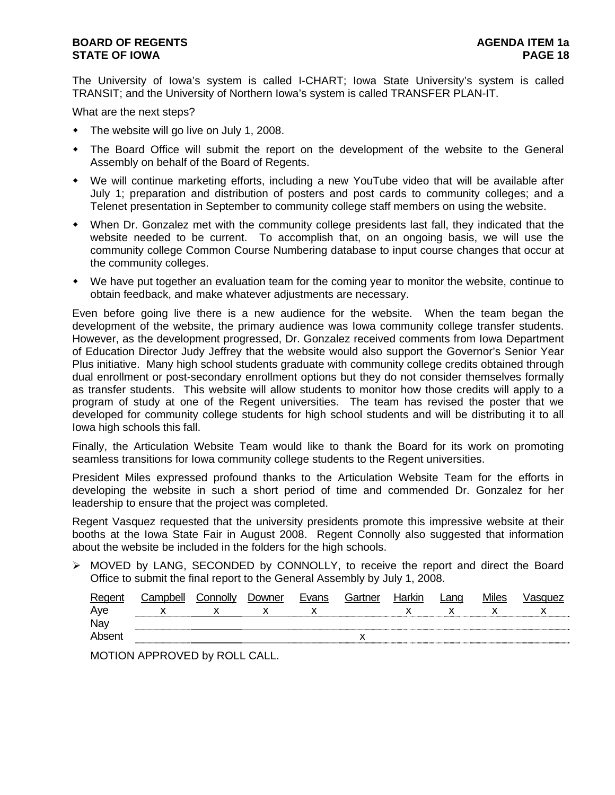The University of Iowa's system is called I-CHART; Iowa State University's system is called TRANSIT; and the University of Northern Iowa's system is called TRANSFER PLAN-IT.

What are the next steps?

- The website will go live on July 1, 2008.
- The Board Office will submit the report on the development of the website to the General Assembly on behalf of the Board of Regents.
- We will continue marketing efforts, including a new YouTube video that will be available after July 1; preparation and distribution of posters and post cards to community colleges; and a Telenet presentation in September to community college staff members on using the website.
- When Dr. Gonzalez met with the community college presidents last fall, they indicated that the website needed to be current. To accomplish that, on an ongoing basis, we will use the community college Common Course Numbering database to input course changes that occur at the community colleges.
- We have put together an evaluation team for the coming year to monitor the website, continue to obtain feedback, and make whatever adjustments are necessary.

Even before going live there is a new audience for the website. When the team began the development of the website, the primary audience was Iowa community college transfer students. However, as the development progressed, Dr. Gonzalez received comments from Iowa Department of Education Director Judy Jeffrey that the website would also support the Governor's Senior Year Plus initiative. Many high school students graduate with community college credits obtained through dual enrollment or post-secondary enrollment options but they do not consider themselves formally as transfer students. This website will allow students to monitor how those credits will apply to a program of study at one of the Regent universities. The team has revised the poster that we developed for community college students for high school students and will be distributing it to all Iowa high schools this fall.

Finally, the Articulation Website Team would like to thank the Board for its work on promoting seamless transitions for Iowa community college students to the Regent universities.

President Miles expressed profound thanks to the Articulation Website Team for the efforts in developing the website in such a short period of time and commended Dr. Gonzalez for her leadership to ensure that the project was completed.

Regent Vasquez requested that the university presidents promote this impressive website at their booths at the Iowa State Fair in August 2008. Regent Connolly also suggested that information about the website be included in the folders for the high schools.

¾ MOVED by LANG, SECONDED by CONNOLLY, to receive the report and direct the Board Office to submit the final report to the General Assembly by July 1, 2008.

| Regent | Campbell | Connolly | Downer | Evans | Gartner | Harkin | _ano | <b>Miles</b> | √asquez |
|--------|----------|----------|--------|-------|---------|--------|------|--------------|---------|
| Aye    |          |          |        |       |         |        |      |              |         |
| Nay    |          |          |        |       |         |        |      |              |         |
| Absent |          |          |        |       |         |        |      |              |         |